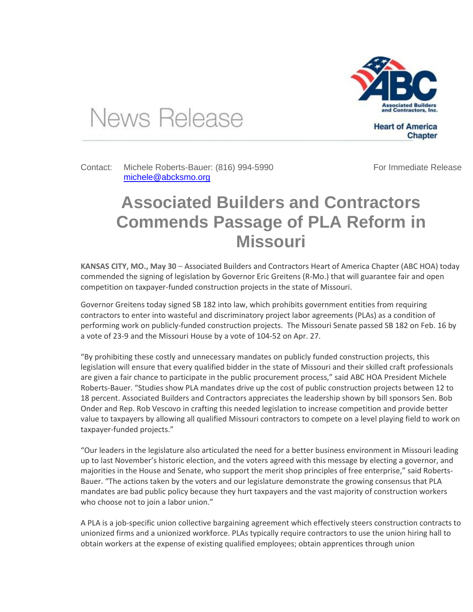

News Release

Contact: Michele Roberts-Bauer: (816) 994-5990 [michele@abcksmo.org](mailto:michele@abcksmo.org) 

For Immediate Release

**Chapter** 

**Heart of America** 

## **Associated Builders and Contractors Commends Passage of PLA Reform in Missouri**

**KANSAS CITY, MO., May 30** – Associated Builders and Contractors Heart of America Chapter (ABC HOA) today commended the signing of legislation by Governor Eric Greitens (R-Mo.) that will guarantee fair and open competition on taxpayer-funded construction projects in the state of Missouri.

Governor Greitens today signed SB 182 into law, which prohibits government entities from requiring contractors to enter into wasteful and discriminatory project labor agreements (PLAs) as a condition of performing work on publicly-funded construction projects. The Missouri Senate passed SB 182 on Feb. 16 by a vote of 23-9 and the Missouri House by a vote of 104-52 on Apr. 27.

"By prohibiting these costly and unnecessary mandates on publicly funded construction projects, this legislation will ensure that every qualified bidder in the state of Missouri and their skilled craft professionals are given a fair chance to participate in the public procurement process," said ABC HOA President Michele Roberts-Bauer. "Studies show PLA mandates drive up the cost of public construction projects between 12 to 18 percent. Associated Builders and Contractors appreciates the leadership shown by bill sponsors Sen. Bob Onder and Rep. Rob Vescovo in crafting this needed legislation to increase competition and provide better value to taxpayers by allowing all qualified Missouri contractors to compete on a level playing field to work on taxpayer-funded projects."

"Our leaders in the legislature also articulated the need for a better business environment in Missouri leading up to last November's historic election, and the voters agreed with this message by electing a governor, and majorities in the House and Senate, who support the merit shop principles of free enterprise," said Roberts-Bauer. "The actions taken by the voters and our legislature demonstrate the growing consensus that PLA mandates are bad public policy because they hurt taxpayers and the vast majority of construction workers who choose not to join a labor union."

A PLA is a job-specific union collective bargaining agreement which effectively steers construction contracts to unionized firms and a unionized workforce. PLAs typically require contractors to use the union hiring hall to obtain workers at the expense of existing qualified employees; obtain apprentices through union